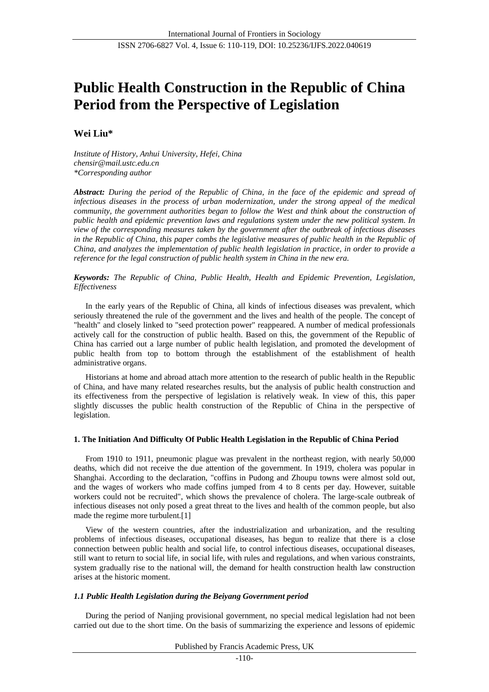# **Public Health Construction in the Republic of China Period from the Perspective of Legislation**

## **Wei Liu\***

*Institute of History, Anhui University, Hefei, China [chensir@mail.ustc.edu.cn](mailto:chensir@mail.ustc.edu.cn) \*Corresponding author*

*Abstract: During the period of the Republic of China, in the face of the epidemic and spread of infectious diseases in the process of urban modernization, under the strong appeal of the medical community, the government authorities began to follow the West and think about the construction of public health and epidemic prevention laws and regulations system under the new political system. In view of the corresponding measures taken by the government after the outbreak of infectious diseases* in the Republic of China, this paper combs the legislative measures of public health in the Republic of *China, and analyzes the implementation of public health legislation in practice, in order to provide a reference for the legal construction of public health system in China in the new era.*

## *Keywords: The Republic of China, Public Health, Health and Epidemic Prevention, Legislation, Effectiveness*

In the early years of the Republic of China, all kinds of infectious diseases was prevalent, which seriously threatened the rule of the government and the lives and health of the people. The concept of "health" and closely linked to "seed protection power" reappeared. A number of medical professionals actively call for the construction of public health. Based on this, the government of the Republic of China has carried out a large number of public health legislation, and promoted the development of public health from top to bottom through the establishment of the establishment of health administrative organs.

Historians at home and abroad attach more attention to the research of public health in the Republic of China, and have many related researches results, but the analysis of public health construction and its effectiveness from the perspective of legislation is relatively weak. In view of this, this paper slightly discusses the public health construction of the Republic of China in the perspective of legislation.

## **1. The Initiation And Difficulty Of Public Health Legislation in the Republic of China Period**

From 1910 to 1911, pneumonic plague was prevalent in the northeast region, with nearly 50,000 deaths, which did not receive the due attention of the government. In 1919, cholera was popular in Shanghai. According to the declaration, "coffins in Pudong and Zhoupu towns were almost sold out, and the wages of workers who made coffins jumped from 4 to 8 cents per day. However, suitable workers could not be recruited", which shows the prevalence of cholera. The large-scale outbreak of infectious diseases not only posed a great threat to the lives and health of the common people, but also made the regime more turbulent.[1]

View of the western countries, after the industrialization and urbanization, and the resulting problems of infectious diseases, occupational diseases, has begun to realize that there is a close connection between public health and social life, to control infectious diseases, occupational diseases, still want to return to social life, in social life, with rules and regulations, and when various constraints, system gradually rise to the national will, the demand for health construction health law construction arises at the historic moment.

## *1.1 Public Health Legislation during the Beiyang Government period*

During the period of Nanjing provisional government, no special medical legislation had not been carried out due to the short time. On the basis of summarizing the experience and lessons of epidemic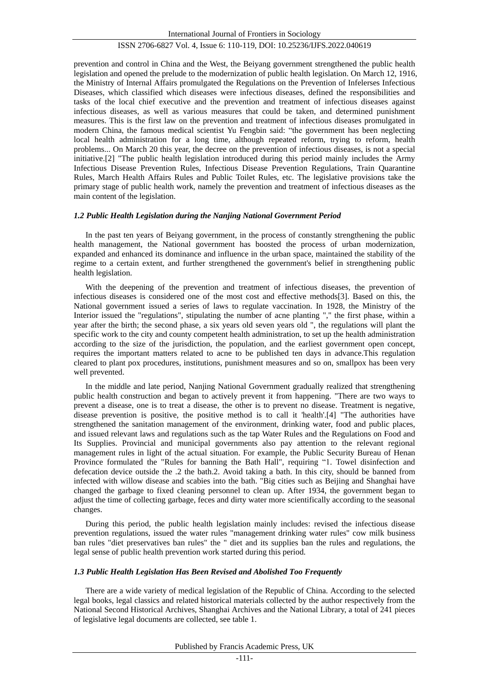prevention and control in China and the West, the Beiyang government strengthened the public health legislation and opened the prelude to the modernization of public health legislation. On March 12, 1916, the Ministry of Internal Affairs promulgated the Regulations on the Prevention of Infelerses Infectious Diseases, which classified which diseases were infectious diseases, defined the responsibilities and tasks of the local chief executive and the prevention and treatment of infectious diseases against infectious diseases, as well as various measures that could be taken, and determined punishment measures. This is the first law on the prevention and treatment of infectious diseases promulgated in modern China, the famous medical scientist Yu Fengbin said: "the government has been neglecting local health administration for a long time, although repeated reform, trying to reform, health problems... On March 20 this year, the decree on the prevention of infectious diseases, is not a special initiative.[2] "The public health legislation introduced during this period mainly includes the Army Infectious Disease Prevention Rules, Infectious Disease Prevention Regulations, Train Quarantine Rules, March Health Affairs Rules and Public Toilet Rules, etc. The legislative provisions take the primary stage of public health work, namely the prevention and treatment of infectious diseases as the main content of the legislation.

#### *1.2 Public Health Legislation during the Nanjing National Government Period*

In the past ten years of Beiyang government, in the process of constantly strengthening the public health management, the National government has boosted the process of urban modernization, expanded and enhanced its dominance and influence in the urban space, maintained the stability of the regime to a certain extent, and further strengthened the government's belief in strengthening public health legislation.

With the deepening of the prevention and treatment of infectious diseases, the prevention of infectious diseases is considered one of the most cost and effective methods[3]. Based on this, the National government issued a series of laws to regulate vaccination. In 1928, the Ministry of the Interior issued the "regulations", stipulating the number of acne planting "," the first phase, within a year after the birth; the second phase, a six years old seven years old ", the regulations will plant the specific work to the city and county competent health administration, to set up the health administration according to the size of the jurisdiction, the population, and the earliest government open concept, requires the important matters related to acne to be published ten days in advance.This regulation cleared to plant pox procedures, institutions, punishment measures and so on, smallpox has been very well prevented.

In the middle and late period, Nanjing National Government gradually realized that strengthening public health construction and began to actively prevent it from happening. "There are two ways to prevent a disease, one is to treat a disease, the other is to prevent no disease. Treatment is negative, disease prevention is positive, the positive method is to call it 'health'.[4] "The authorities have strengthened the sanitation management of the environment, drinking water, food and public places, and issued relevant laws and regulations such as the tap Water Rules and the Regulations on Food and Its Supplies. Provincial and municipal governments also pay attention to the relevant regional management rules in light of the actual situation. For example, the Public Security Bureau of Henan Province formulated the "Rules for banning the Bath Hall", requiring "1. Towel disinfection and defecation device outside the .2 the bath.2. Avoid taking a bath. In this city, should be banned from infected with willow disease and scabies into the bath. "Big cities such as Beijing and Shanghai have changed the garbage to fixed cleaning personnel to clean up. After 1934, the government began to adjust the time of collecting garbage, feces and dirty water more scientifically according to the seasonal changes.

During this period, the public health legislation mainly includes: revised the infectious disease prevention regulations, issued the water rules "management drinking water rules" cow milk business ban rules "diet preservatives ban rules" the " diet and its supplies ban the rules and regulations, the legal sense of public health prevention work started during this period.

#### *1.3 Public Health Legislation Has Been Revised and Abolished Too Frequently*

There are a wide variety of medical legislation of the Republic of China. According to the selected legal books, legal classics and related historical materials collected by the author respectively from the National Second Historical Archives, Shanghai Archives and the National Library, a total of 241 pieces of legislative legal documents are collected, see table 1.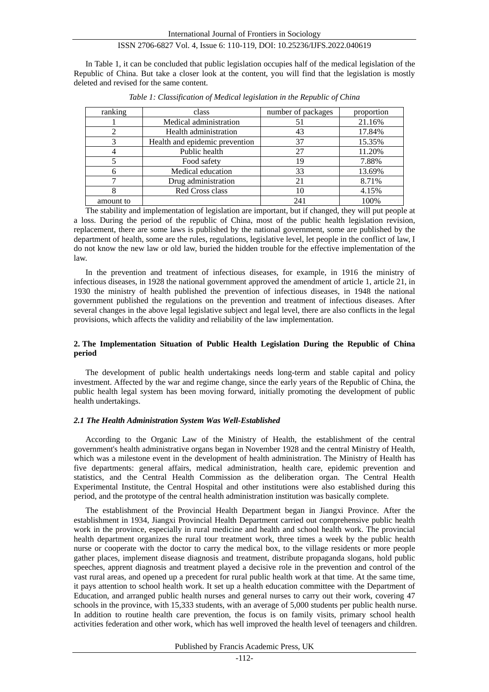In Table 1, it can be concluded that public legislation occupies half of the medical legislation of the Republic of China. But take a closer look at the content, you will find that the legislation is mostly deleted and revised for the same content.

| ranking   | class                          | number of packages | proportion |
|-----------|--------------------------------|--------------------|------------|
|           | Medical administration         | 51                 | 21.16%     |
|           | Health administration          | 43                 | 17.84%     |
|           | Health and epidemic prevention | 37                 | 15.35%     |
|           | Public health                  | 27                 | 11.20%     |
|           | Food safety                    | 19                 | 7.88%      |
| h         | Medical education              | 33                 | 13.69%     |
|           | Drug administration            | 21                 | 8.71%      |
|           | Red Cross class                | 10                 | 4.15%      |
| amount to |                                | 241                | 100%       |

*Table 1: Classification of Medical legislation in the Republic of China*

The stability and implementation of legislation are important, but if changed, they will put people at a loss. During the period of the republic of China, most of the public health legislation revision, replacement, there are some laws is published by the national government, some are published by the department of health, some are the rules, regulations, legislative level, let people in the conflict of law, I do not know the new law or old law, buried the hidden trouble for the effective implementation of the law.

In the prevention and treatment of infectious diseases, for example, in 1916 the ministry of infectious diseases, in 1928 the national government approved the amendment of article 1, article 21, in 1930 the ministry of health published the prevention of infectious diseases, in 1948 the national government published the regulations on the prevention and treatment of infectious diseases. After several changes in the above legal legislative subject and legal level, there are also conflicts in the legal provisions, which affects the validity and reliability of the law implementation.

## **2. The Implementation Situation of Public Health Legislation During the Republic of China period**

The development of public health undertakings needs long-term and stable capital and policy investment. Affected by the war and regime change, since the early years of the Republic of China, the public health legal system has been moving forward, initially promoting the development of public health undertakings.

## *2.1 The Health Administration System Was Well-Established*

According to the Organic Law of the Ministry of Health, the establishment of the central government's health administrative organs began in November 1928 and the central Ministry of Health, which was a milestone event in the development of health administration. The Ministry of Health has five departments: general affairs, medical administration, health care, epidemic prevention and statistics, and the Central Health Commission as the deliberation organ. The Central Health Experimental Institute, the Central Hospital and other institutions were also established during this period, and the prototype of the central health administration institution was basically complete.

The establishment of the Provincial Health Department began in Jiangxi Province. After the establishment in 1934, Jiangxi Provincial Health Department carried out comprehensive public health work in the province, especially in rural medicine and health and school health work. The provincial health department organizes the rural tour treatment work, three times a week by the public health nurse or cooperate with the doctor to carry the medical box, to the village residents or more people gather places, implement disease diagnosis and treatment, distribute propaganda slogans, hold public speeches, apprent diagnosis and treatment played a decisive role in the prevention and control of the vast rural areas, and opened up a precedent for rural public health work at that time. At the same time, it pays attention to school health work. It set up a health education committee with the Department of Education, and arranged public health nurses and general nurses to carry out their work, covering 47 schools in the province, with 15,333 students, with an average of 5,000 students per public health nurse. In addition to routine health care prevention, the focus is on family visits, primary school health activities federation and other work, which has well improved the health level of teenagers and children.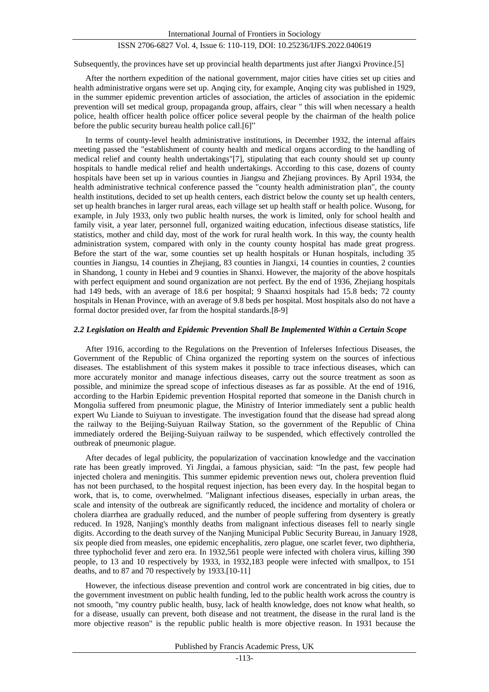Subsequently, the provinces have set up provincial health departments just after Jiangxi Province.[5]

After the northern expedition of the national government, major cities have cities set up cities and health administrative organs were set up. Anqing city, for example, Anqing city was published in 1929, in the summer epidemic prevention articles of association, the articles of association in the epidemic prevention will set medical group, propaganda group, affairs, clear " this will when necessary a health police, health officer health police officer police several people by the chairman of the health police before the public security bureau health police call.[6]"

In terms of county-level health administrative institutions, in December 1932, the internal affairs meeting passed the "establishment of county health and medical organs according to the handling of medical relief and county health undertakings"[7], stipulating that each county should set up county hospitals to handle medical relief and health undertakings. According to this case, dozens of county hospitals have been set up in various counties in Jiangsu and Zhejiang provinces. By April 1934, the health administrative technical conference passed the "county health administration plan", the county health institutions, decided to set up health centers, each district below the county set up health centers, set up health branches in larger rural areas, each village set up health staff or health police. Wusong, for example, in July 1933, only two public health nurses, the work is limited, only for school health and family visit, a year later, personnel full, organized waiting education, infectious disease statistics, life statistics, mother and child day, most of the work for rural health work. In this way, the county health administration system, compared with only in the county county hospital has made great progress. Before the start of the war, some counties set up health hospitals or Hunan hospitals, including 35 counties in Jiangsu, 14 counties in Zhejiang, 83 counties in Jiangxi, 14 counties in counties, 2 counties in Shandong, 1 county in Hebei and 9 counties in Shanxi. However, the majority of the above hospitals with perfect equipment and sound organization are not perfect. By the end of 1936, Zhejiang hospitals had 149 beds, with an average of 18.6 per hospital; 9 Shaanxi hospitals had 15.8 beds; 72 county hospitals in Henan Province, with an average of 9.8 beds per hospital. Most hospitals also do not have a formal doctor presided over, far from the hospital standards.[8-9]

## *2.2 Legislation on Health and Epidemic Prevention Shall Be Implemented Within a Certain Scope*

After 1916, according to the Regulations on the Prevention of Infelerses Infectious Diseases, the Government of the Republic of China organized the reporting system on the sources of infectious diseases. The establishment of this system makes it possible to trace infectious diseases, which can more accurately monitor and manage infectious diseases, carry out the source treatment as soon as possible, and minimize the spread scope of infectious diseases as far as possible. At the end of 1916, according to the Harbin Epidemic prevention Hospital reported that someone in the Danish church in Mongolia suffered from pneumonic plague, the Ministry of Interior immediately sent a public health expert Wu Liande to Suiyuan to investigate. The investigation found that the disease had spread along the railway to the Beijing-Suiyuan Railway Station, so the government of the Republic of China immediately ordered the Beijing-Suiyuan railway to be suspended, which effectively controlled the outbreak of pneumonic plague.

After decades of legal publicity, the popularization of vaccination knowledge and the vaccination rate has been greatly improved. Yi Jingdai, a famous physician, said: "In the past, few people had injected cholera and meningitis. This summer epidemic prevention news out, cholera prevention fluid has not been purchased, to the hospital request injection, has been every day. In the hospital began to work, that is, to come, overwhelmed. "Malignant infectious diseases, especially in urban areas, the scale and intensity of the outbreak are significantly reduced, the incidence and mortality of cholera or cholera diarrhea are gradually reduced, and the number of people suffering from dysentery is greatly reduced. In 1928, Nanjing's monthly deaths from malignant infectious diseases fell to nearly single digits. According to the death survey of the Nanjing Municipal Public Security Bureau, in January 1928, six people died from measles, one epidemic encephalitis, zero plague, one scarlet fever, two diphtheria, three typhocholid fever and zero era. In 1932,561 people were infected with cholera virus, killing 390 people, to 13 and 10 respectively by 1933, in 1932,183 people were infected with smallpox, to 151 deaths, and to 87 and 70 respectively by 1933.[10-11]

However, the infectious disease prevention and control work are concentrated in big cities, due to the government investment on public health funding, led to the public health work across the country is not smooth, "my country public health, busy, lack of health knowledge, does not know what health, so for a disease, usually can prevent, both disease and not treatment, the disease in the rural land is the more objective reason" is the republic public health is more objective reason. In 1931 because the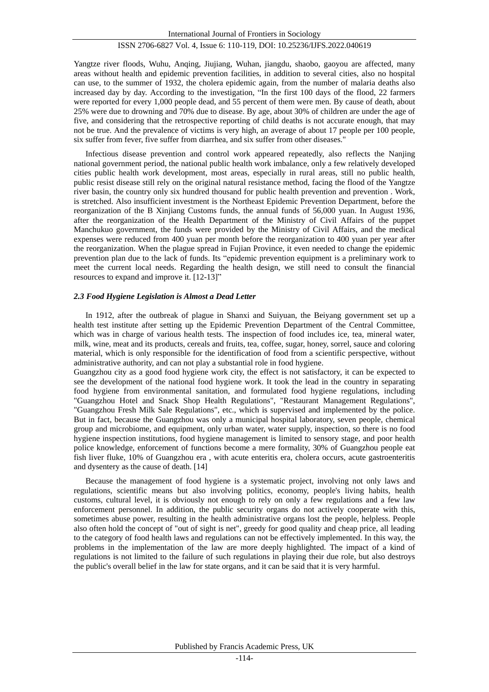Yangtze river floods, Wuhu, Anqing, Jiujiang, Wuhan, jiangdu, shaobo, gaoyou are affected, many areas without health and epidemic prevention facilities, in addition to several cities, also no hospital can use, to the summer of 1932, the cholera epidemic again, from the number of malaria deaths also increased day by day. According to the investigation, "In the first 100 days of the flood, 22 farmers were reported for every 1,000 people dead, and 55 percent of them were men. By cause of death, about 25% were due to drowning and 70% due to disease. By age, about 30% of children are under the age of five, and considering that the retrospective reporting of child deaths is not accurate enough, that may not be true. And the prevalence of victims is very high, an average of about 17 people per 100 people, six suffer from fever, five suffer from diarrhea, and six suffer from other diseases."

Infectious disease prevention and control work appeared repeatedly, also reflects the Nanjing national government period, the national public health work imbalance, only a few relatively developed cities public health work development, most areas, especially in rural areas, still no public health, public resist disease still rely on the original natural resistance method, facing the flood of the Yangtze river basin, the country only six hundred thousand for public health prevention and prevention . Work, is stretched. Also insufficient investment is the Northeast Epidemic Prevention Department, before the reorganization of the B Xinjiang Customs funds, the annual funds of 56,000 yuan. In August 1936, after the reorganization of the Health Department of the Ministry of Civil Affairs of the puppet Manchukuo government, the funds were provided by the Ministry of Civil Affairs, and the medical expenses were reduced from 400 yuan per month before the reorganization to 400 yuan per year after the reorganization. When the plague spread in Fujian Province, it even needed to change the epidemic prevention plan due to the lack of funds. Its "epidemic prevention equipment is a preliminary work to meet the current local needs. Regarding the health design, we still need to consult the financial resources to expand and improve it. [12-13]"

## *2.3 Food Hygiene Legislation is Almost a Dead Letter*

In 1912, after the outbreak of plague in Shanxi and Suiyuan, the Beiyang government set up a health test institute after setting up the Epidemic Prevention Department of the Central Committee, which was in charge of various health tests. The inspection of food includes ice, tea, mineral water, milk, wine, meat and its products, cereals and fruits, tea, coffee, sugar, honey, sorrel, sauce and coloring material, which is only responsible for the identification of food from a scientific perspective, without administrative authority, and can not play a substantial role in food hygiene.

Guangzhou city as a good food hygiene work city, the effect is not satisfactory, it can be expected to see the development of the national food hygiene work. It took the lead in the country in separating food hygiene from environmental sanitation, and formulated food hygiene regulations, including "Guangzhou Hotel and Snack Shop Health Regulations", "Restaurant Management Regulations", "Guangzhou Fresh Milk Sale Regulations", etc., which is supervised and implemented by the police. But in fact, because the Guangzhou was only a municipal hospital laboratory, seven people, chemical group and microbiome, and equipment, only urban water, water supply, inspection, so there is no food hygiene inspection institutions, food hygiene management is limited to sensory stage, and poor health police knowledge, enforcement of functions become a mere formality, 30% of Guangzhou people eat fish liver fluke, 10% of Guangzhou era , with acute enteritis era, cholera occurs, acute gastroenteritis and dysentery as the cause of death. [14]

Because the management of food hygiene is a systematic project, involving not only laws and regulations, scientific means but also involving politics, economy, people's living habits, health customs, cultural level, it is obviously not enough to rely on only a few regulations and a few law enforcement personnel. In addition, the public security organs do not actively cooperate with this, sometimes abuse power, resulting in the health administrative organs lost the people, helpless. People also often hold the concept of "out of sight is net", greedy for good quality and cheap price, all leading to the category of food health laws and regulations can not be effectively implemented. In this way, the problems in the implementation of the law are more deeply highlighted. The impact of a kind of regulations is not limited to the failure of such regulations in playing their due role, but also destroys the public's overall belief in the law for state organs, and it can be said that it is very harmful.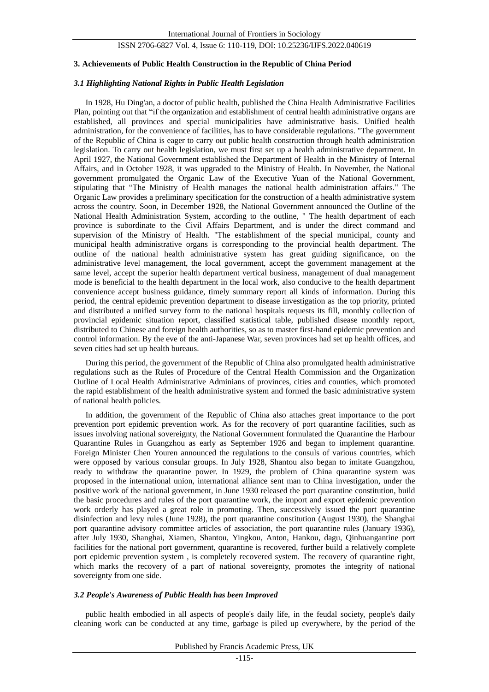#### **3. Achievements of Public Health Construction in the Republic of China Period**

## *3.1 Highlighting National Rights in Public Health Legislation*

In 1928, Hu Ding'an, a doctor of public health, published the China Health Administrative Facilities Plan, pointing out that "if the organization and establishment of central health administrative organs are established, all provinces and special municipalities have administrative basis. Unified health administration, for the convenience of facilities, has to have considerable regulations. "The government of the Republic of China is eager to carry out public health construction through health administration legislation. To carry out health legislation, we must first set up a health administrative department. In April 1927, the National Government established the Department of Health in the Ministry of Internal Affairs, and in October 1928, it was upgraded to the Ministry of Health. In November, the National government promulgated the Organic Law of the Executive Yuan of the National Government, stipulating that "The Ministry of Health manages the national health administration affairs." The Organic Law provides a preliminary specification for the construction of a health administrative system across the country. Soon, in December 1928, the National Government announced the Outline of the National Health Administration System, according to the outline, " The health department of each province is subordinate to the Civil Affairs Department, and is under the direct command and supervision of the Ministry of Health. "The establishment of the special municipal, county and municipal health administrative organs is corresponding to the provincial health department. The outline of the national health administrative system has great guiding significance, on the administrative level management, the local government, accept the government management at the same level, accept the superior health department vertical business, management of dual management mode is beneficial to the health department in the local work, also conducive to the health department convenience accept business guidance, timely summary report all kinds of information. During this period, the central epidemic prevention department to disease investigation as the top priority, printed and distributed a unified survey form to the national hospitals requests its fill, monthly collection of provincial epidemic situation report, classified statistical table, published disease monthly report, distributed to Chinese and foreign health authorities, so as to master first-hand epidemic prevention and control information. By the eve of the anti-Japanese War, seven provinces had set up health offices, and seven cities had set up health bureaus.

During this period, the government of the Republic of China also promulgated health administrative regulations such as the Rules of Procedure of the Central Health Commission and the Organization Outline of Local Health Administrative Adminians of provinces, cities and counties, which promoted the rapid establishment of the health administrative system and formed the basic administrative system of national health policies.

In addition, the government of the Republic of China also attaches great importance to the port prevention port epidemic prevention work. As for the recovery of port quarantine facilities, such as issues involving national sovereignty, the National Government formulated the Quarantine the Harbour Quarantine Rules in Guangzhou as early as September 1926 and began to implement quarantine. Foreign Minister Chen Youren announced the regulations to the consuls of various countries, which were opposed by various consular groups. In July 1928, Shantou also began to imitate Guangzhou, ready to withdraw the quarantine power. In 1929, the problem of China quarantine system was proposed in the international union, international alliance sent man to China investigation, under the positive work of the national government, in June 1930 released the port quarantine constitution, build the basic procedures and rules of the port quarantine work, the import and export epidemic prevention work orderly has played a great role in promoting. Then, successively issued the port quarantine disinfection and levy rules (June 1928), the port quarantine constitution (August 1930), the Shanghai port quarantine advisory committee articles of association, the port quarantine rules (January 1936), after July 1930, Shanghai, Xiamen, Shantou, Yingkou, Anton, Hankou, dagu, Qinhuangantine port facilities for the national port government, quarantine is recovered, further build a relatively complete port epidemic prevention system , is completely recovered system. The recovery of quarantine right, which marks the recovery of a part of national sovereignty, promotes the integrity of national sovereignty from one side.

#### *3.2 People's Awareness of Public Health has been Improved*

public health embodied in all aspects of people's daily life, in the feudal society, people's daily cleaning work can be conducted at any time, garbage is piled up everywhere, by the period of the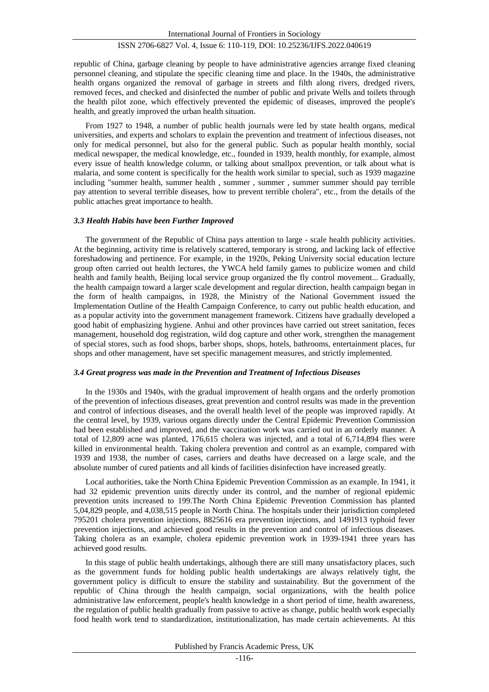republic of China, garbage cleaning by people to have administrative agencies arrange fixed cleaning personnel cleaning, and stipulate the specific cleaning time and place. In the 1940s, the administrative health organs organized the removal of garbage in streets and filth along rivers, dredged rivers, removed feces, and checked and disinfected the number of public and private Wells and toilets through the health pilot zone, which effectively prevented the epidemic of diseases, improved the people's health, and greatly improved the urban health situation.

From 1927 to 1948, a number of public health journals were led by state health organs, medical universities, and experts and scholars to explain the prevention and treatment of infectious diseases, not only for medical personnel, but also for the general public. Such as popular health monthly, social medical newspaper, the medical knowledge, etc., founded in 1939, health monthly, for example, almost every issue of health knowledge column, or talking about smallpox prevention, or talk about what is malaria, and some content is specifically for the health work similar to special, such as 1939 magazine including "summer health, summer health , summer , summer , summer summer should pay terrible pay attention to several terrible diseases, how to prevent terrible cholera", etc., from the details of the public attaches great importance to health.

#### *3.3 Health Habits have been Further Improved*

The government of the Republic of China pays attention to large - scale health publicity activities. At the beginning, activity time is relatively scattered, temporary is strong, and lacking lack of effective foreshadowing and pertinence. For example, in the 1920s, Peking University social education lecture group often carried out health lectures, the YWCA held family games to publicize women and child health and family health, Beijing local service group organized the fly control movement... Gradually, the health campaign toward a larger scale development and regular direction, health campaign began in the form of health campaigns, in 1928, the Ministry of the National Government issued the Implementation Outline of the Health Campaign Conference, to carry out public health education, and as a popular activity into the government management framework. Citizens have gradually developed a good habit of emphasizing hygiene. Anhui and other provinces have carried out street sanitation, feces management, household dog registration, wild dog capture and other work, strengthen the management of special stores, such as food shops, barber shops, shops, hotels, bathrooms, entertainment places, fur shops and other management, have set specific management measures, and strictly implemented.

#### *3.4 Great progress was made in the Prevention and Treatment of Infectious Diseases*

In the 1930s and 1940s, with the gradual improvement of health organs and the orderly promotion of the prevention of infectious diseases, great prevention and control results was made in the prevention and control of infectious diseases, and the overall health level of the people was improved rapidly. At the central level, by 1939, various organs directly under the Central Epidemic Prevention Commission had been established and improved, and the vaccination work was carried out in an orderly manner. A total of 12,809 acne was planted, 176,615 cholera was injected, and a total of 6,714,894 flies were killed in environmental health. Taking cholera prevention and control as an example, compared with 1939 and 1938, the number of cases, carriers and deaths have decreased on a large scale, and the absolute number of cured patients and all kinds of facilities disinfection have increased greatly.

Local authorities, take the North China Epidemic Prevention Commission as an example. In 1941, it had 32 epidemic prevention units directly under its control, and the number of regional epidemic prevention units increased to 199.The North China Epidemic Prevention Commission has planted 5,04,829 people, and 4,038,515 people in North China. The hospitals under their jurisdiction completed 795201 cholera prevention injections, 8825616 era prevention injections, and 1491913 typhoid fever prevention injections, and achieved good results in the prevention and control of infectious diseases. Taking cholera as an example, cholera epidemic prevention work in 1939-1941 three years has achieved good results.

In this stage of public health undertakings, although there are still many unsatisfactory places, such as the government funds for holding public health undertakings are always relatively tight, the government policy is difficult to ensure the stability and sustainability. But the government of the republic of China through the health campaign, social organizations, with the health police administrative law enforcement, people's health knowledge in a short period of time, health awareness, the regulation of public health gradually from passive to active as change, public health work especially food health work tend to standardization, institutionalization, has made certain achievements. At this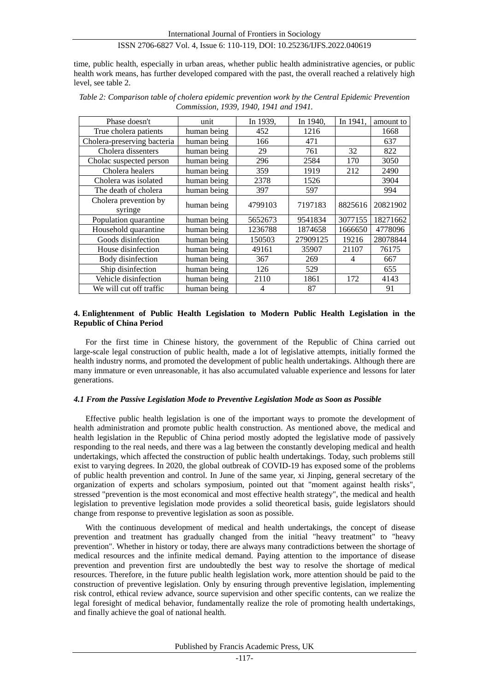time, public health, especially in urban areas, whether public health administrative agencies, or public health work means, has further developed compared with the past, the overall reached a relatively high level, see table 2.

| Phase doesn't                    | unit        | In 1939,       | In 1940, | In 1941, | amount to |
|----------------------------------|-------------|----------------|----------|----------|-----------|
| True cholera patients            | human being | 452            | 1216     |          | 1668      |
| Cholera-preserving bacteria      | human being | 166            | 471      |          | 637       |
| Cholera dissenters               | human being | 29             | 761      | 32       | 822       |
| Cholac suspected person          | human being | 296            | 2584     | 170      | 3050      |
| Cholera healers                  | human being | 359            | 1919     | 212      | 2490      |
| Cholera was isolated             | human being | 2378           | 1526     |          | 3904      |
| The death of cholera             | human being | 397            | 597      |          | 994       |
| Cholera prevention by<br>syringe | human being | 4799103        | 7197183  | 8825616  | 20821902  |
| Population quarantine            | human being | 5652673        | 9541834  | 3077155  | 18271662  |
| Household quarantine             | human being | 1236788        | 1874658  | 1666650  | 4778096   |
| Goods disinfection               | human being | 150503         | 27909125 | 19216    | 28078844  |
| House disinfection               | human being | 49161          | 35907    | 21107    | 76175     |
| Body disinfection                | human being | 367            | 269      | 4        | 667       |
| Ship disinfection                | human being | 126            | 529      |          | 655       |
| Vehicle disinfection             | human being | 2110           | 1861     | 172      | 4143      |
| We will cut off traffic          | human being | $\overline{4}$ | 87       |          | 91        |

*Table 2: Comparison table of cholera epidemic prevention work by the Central Epidemic Prevention Commission, 1939, 1940, 1941 and 1941.*

## **4. Enlightenment of Public Health Legislation to Modern Public Health Legislation in the Republic of China Period**

For the first time in Chinese history, the government of the Republic of China carried out large-scale legal construction of public health, made a lot of legislative attempts, initially formed the health industry norms, and promoted the development of public health undertakings. Although there are many immature or even unreasonable, it has also accumulated valuable experience and lessons for later generations.

#### *4.1 From the Passive Legislation Mode to Preventive Legislation Mode as Soon as Possible*

Effective public health legislation is one of the important ways to promote the development of health administration and promote public health construction. As mentioned above, the medical and health legislation in the Republic of China period mostly adopted the legislative mode of passively responding to the real needs, and there was a lag between the constantly developing medical and health undertakings, which affected the construction of public health undertakings. Today, such problems still exist to varying degrees. In 2020, the global outbreak of COVID-19 has exposed some of the problems of public health prevention and control. In June of the same year, xi Jinping, general secretary of the organization of experts and scholars symposium, pointed out that "moment against health risks", stressed "prevention is the most economical and most effective health strategy", the medical and health legislation to preventive legislation mode provides a solid theoretical basis, guide legislators should change from response to preventive legislation as soon as possible.

With the continuous development of medical and health undertakings, the concept of disease prevention and treatment has gradually changed from the initial "heavy treatment" to "heavy prevention". Whether in history or today, there are always many contradictions between the shortage of medical resources and the infinite medical demand. Paying attention to the importance of disease prevention and prevention first are undoubtedly the best way to resolve the shortage of medical resources. Therefore, in the future public health legislation work, more attention should be paid to the construction of preventive legislation. Only by ensuring through preventive legislation, implementing risk control, ethical review advance, source supervision and other specific contents, can we realize the legal foresight of medical behavior, fundamentally realize the role of promoting health undertakings, and finally achieve the goal of national health.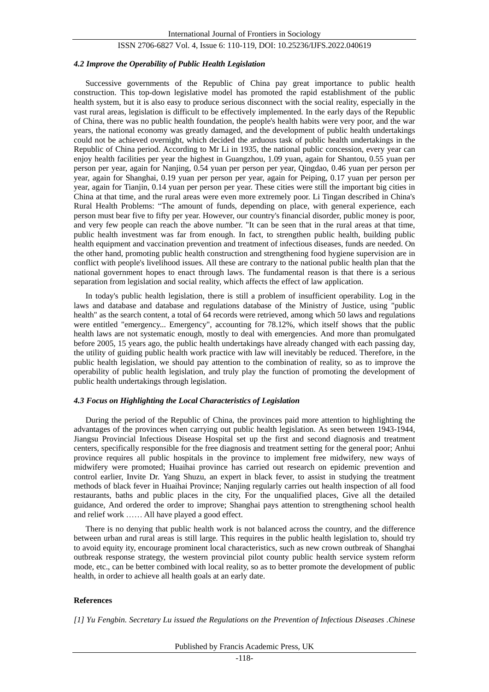## *4.2 Improve the Operability of Public Health Legislation*

Successive governments of the Republic of China pay great importance to public health construction. This top-down legislative model has promoted the rapid establishment of the public health system, but it is also easy to produce serious disconnect with the social reality, especially in the vast rural areas, legislation is difficult to be effectively implemented. In the early days of the Republic of China, there was no public health foundation, the people's health habits were very poor, and the war years, the national economy was greatly damaged, and the development of public health undertakings could not be achieved overnight, which decided the arduous task of public health undertakings in the Republic of China period. According to Mr Li in 1935, the national public concession, every year can enjoy health facilities per year the highest in Guangzhou, 1.09 yuan, again for Shantou, 0.55 yuan per person per year, again for Nanjing, 0.54 yuan per person per year, Qingdao, 0.46 yuan per person per year, again for Shanghai, 0.19 yuan per person per year, again for Peiping, 0.17 yuan per person per year, again for Tianjin, 0.14 yuan per person per year. These cities were still the important big cities in China at that time, and the rural areas were even more extremely poor. Li Tingan described in China's Rural Health Problems: "The amount of funds, depending on place, with general experience, each person must bear five to fifty per year. However, our country's financial disorder, public money is poor, and very few people can reach the above number. "It can be seen that in the rural areas at that time, public health investment was far from enough. In fact, to strengthen public health, building public health equipment and vaccination prevention and treatment of infectious diseases, funds are needed. On the other hand, promoting public health construction and strengthening food hygiene supervision are in conflict with people's livelihood issues. All these are contrary to the national public health plan that the national government hopes to enact through laws. The fundamental reason is that there is a serious separation from legislation and social reality, which affects the effect of law application.

In today's public health legislation, there is still a problem of insufficient operability. Log in the laws and database and database and regulations database of the Ministry of Justice, using "public health" as the search content, a total of 64 records were retrieved, among which 50 laws and regulations were entitled "emergency... Emergency", accounting for 78.12%, which itself shows that the public health laws are not systematic enough, mostly to deal with emergencies. And more than promulgated before 2005, 15 years ago, the public health undertakings have already changed with each passing day, the utility of guiding public health work practice with law will inevitably be reduced. Therefore, in the public health legislation, we should pay attention to the combination of reality, so as to improve the operability of public health legislation, and truly play the function of promoting the development of public health undertakings through legislation.

## *4.3 Focus on Highlighting the Local Characteristics of Legislation*

During the period of the Republic of China, the provinces paid more attention to highlighting the advantages of the provinces when carrying out public health legislation. As seen between 1943-1944, Jiangsu Provincial Infectious Disease Hospital set up the first and second diagnosis and treatment centers, specifically responsible for the free diagnosis and treatment setting for the general poor; Anhui province requires all public hospitals in the province to implement free midwifery, new ways of midwifery were promoted; Huaihai province has carried out research on epidemic prevention and control earlier, Invite Dr. Yang Shuzu, an expert in black fever, to assist in studying the treatment methods of black fever in Huaihai Province; Nanjing regularly carries out health inspection of all food restaurants, baths and public places in the city, For the unqualified places, Give all the detailed guidance, And ordered the order to improve; Shanghai pays attention to strengthening school health and relief work …… All have played a good effect.

There is no denying that public health work is not balanced across the country, and the difference between urban and rural areas is still large. This requires in the public health legislation to, should try to avoid equity ity, encourage prominent local characteristics, such as new crown outbreak of Shanghai outbreak response strategy, the western provincial pilot county public health service system reform mode, etc., can be better combined with local reality, so as to better promote the development of public health, in order to achieve all health goals at an early date.

## **References**

*[1] Yu Fengbin. Secretary Lu issued the Regulations on the Prevention of Infectious Diseases .Chinese*